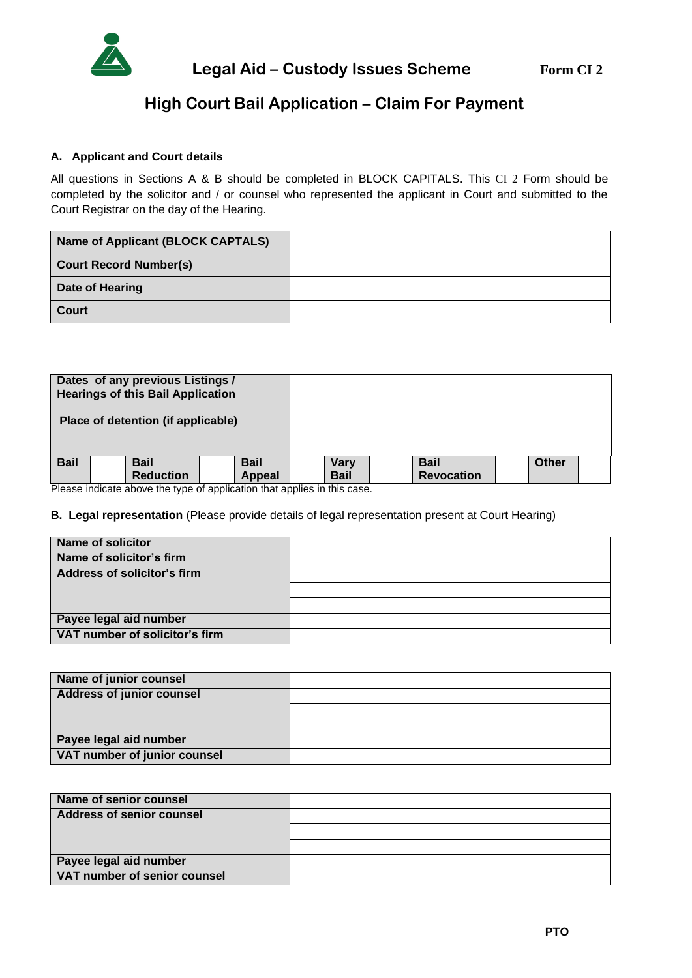

# **High Court Bail Application – Claim For Payment**

# **A. Applicant and Court details**

All questions in Sections A & B should be completed in BLOCK CAPITALS. This CI 2 Form should be completed by the solicitor and / or counsel who represented the applicant in Court and submitted to the Court Registrar on the day of the Hearing.

| Name of Applicant (BLOCK CAPTALS) |  |
|-----------------------------------|--|
| <b>Court Record Number(s)</b>     |  |
| Date of Hearing                   |  |
| <b>Court</b>                      |  |

| Dates of any previous Listings /<br><b>Hearings of this Bail Application</b> |  |  |
|------------------------------------------------------------------------------|--|--|
| Place of detention (if applicable)                                           |  |  |
|                                                                              |  |  |

Please indicate above the type of application that applies in this case.

### **B. Legal representation** (Please provide details of legal representation present at Court Hearing)

| <b>Name of solicitor</b>       |  |
|--------------------------------|--|
| Name of solicitor's firm       |  |
| Address of solicitor's firm    |  |
|                                |  |
|                                |  |
| Payee legal aid number         |  |
| VAT number of solicitor's firm |  |

| Name of junior counsel           |  |
|----------------------------------|--|
| <b>Address of junior counsel</b> |  |
|                                  |  |
|                                  |  |
| Payee legal aid number           |  |
| VAT number of junior counsel     |  |

| Name of senior counsel           |  |
|----------------------------------|--|
| <b>Address of senior counsel</b> |  |
|                                  |  |
|                                  |  |
| Payee legal aid number           |  |
| VAT number of senior counsel     |  |